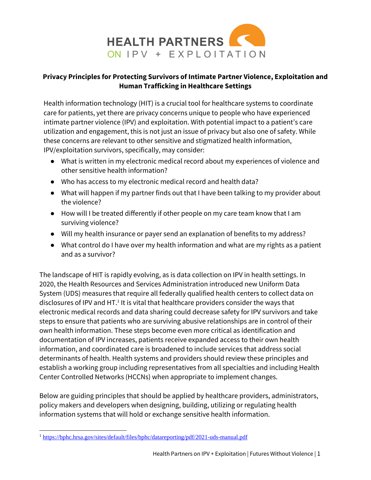

### **Privacy Principles for Protecting Survivors of Intimate Partner Violence, Exploitation and Human Trafficking in Healthcare Settings**

Health information technology (HIT) is a crucial tool for healthcare systems to coordinate care for patients, yet there are privacy concerns unique to people who have experienced intimate partner violence (IPV) and exploitation. With potential impact to a patient's care utilization and engagement, this is not just an issue of privacy but also one of safety. While these concerns are relevant to other sensitive and stigmatized health information, IPV/exploitation survivors, specifically, may consider:

- What is written in my electronic medical record about my experiences of violence and other sensitive health information?
- Who has access to my electronic medical record and health data?
- What will happen if my partner finds out that I have been talking to my provider about the violence?
- How will I be treated differently if other people on my care team know that I am surviving violence?
- Will my health insurance or payer send an explanation of benefits to my address?
- What control do I have over my health information and what are my rights as a patient and as a survivor?

The landscape of HIT is rapidly evolving, as is data collection on IPV in health settings. In 2020, the Health Resources and Services Administration introduced new Uniform Data System (UDS) measures that require all federally qualified health centers to collect data on disclosures of IPV and HT.<sup>1</sup> It is vital that healthcare providers consider the ways that electronic medical records and data sharing could decrease safety for IPV survivors and take steps to ensure that patients who are surviving abusive relationships are in control of their own health information. These steps become even more critical as identification and documentation of IPV increases, patients receive expanded access to their own health information, and coordinated care is broadened to include services that address social determinants of health. Health systems and providers should review these principles and establish a working group including representatives from all specialties and including Health Center Controlled Networks (HCCNs) when appropriate to implement changes.

Below are guiding principles that should be applied by healthcare providers, administrators, policy makers and developers when designing, building, utilizing or regulating health information systems that will hold or exchange sensitive health information.

l <sup>1</sup> <https://bphc.hrsa.gov/sites/default/files/bphc/datareporting/pdf/2021-uds-manual.pdf>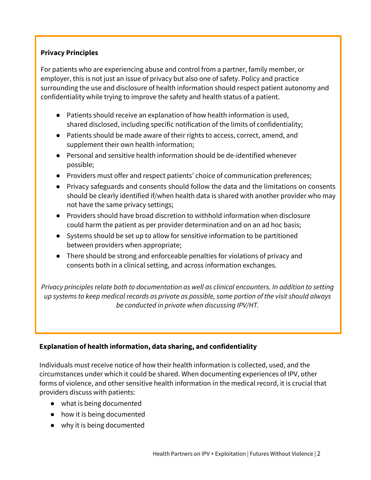# **Privacy Principles**

For patients who are experiencing abuse and control from a partner, family member, or employer, this is not just an issue of privacy but also one of safety. Policy and practice surrounding the use and disclosure of health information should respect patient autonomy and confidentiality while trying to improve the safety and health status of a patient.

- Patients should receive an explanation of how health information is used, shared disclosed, including specific notification of the limits of confidentiality;
- Patients should be made aware of their rights to access, correct, amend, and supplement their own health information;
- Personal and sensitive health information should be de-identified whenever possible;
- Providers must offer and respect patients' choice of communication preferences;
- Privacy safeguards and consents should follow the data and the limitations on consents should be clearly identified if/when health data is shared with another provider who may not have the same privacy settings;
- Providers should have broad discretion to withhold information when disclosure could harm the patient as per provider determination and on an ad hoc basis;
- Systems should be set up to allow for sensitive information to be partitioned between providers when appropriate;
- There should be strong and enforceable penalties for violations of privacy and consents both in a clinical setting, and across information exchanges.

*Privacy principles relate both to documentation as well as clinical encounters. In addition to setting up systems to keep medical records as private as possible, some portion of the visit should always be conducted in private when discussing IPV/HT.*

### **Explanation of health information, data sharing, and confidentiality**

Individuals must receive notice of how their health information is collected, used, and the circumstances under which it could be shared. When documenting experiences of IPV, other forms of violence, and other sensitive health information in the medical record, it is crucial that providers discuss with patients:

- what is being documented
- how it is being documented
- why it is being documented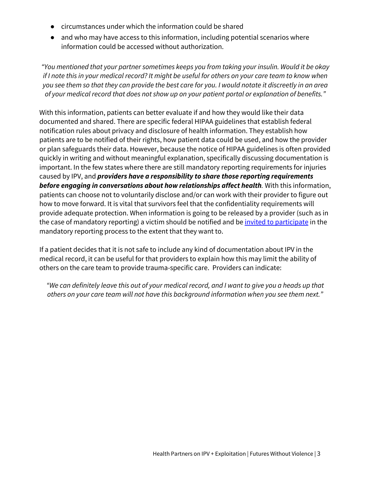- circumstances under which the information could be shared
- and who may have access to this information, including potential scenarios where information could be accessed without authorization.

*"You mentioned that your partner sometimes keeps you from taking your insulin. Would it be okay if I note this in your medical record? It might be useful for others on your care team to know when you see them so that they can provide the best care for you. I would notate it discreetly in an area of your medical record that does not show up on your patient portal or explanation of benefits."*

With this information, patients can better evaluate if and how they would like their data documented and shared. There are specific federal HIPAA guidelines that establish federal notification rules about privacy and disclosure of health information. They establish how patients are to be notified of their rights, how patient data could be used, and how the provider or plan safeguards their data. However, because the notice of HIPAA guidelines is often provided quickly in writing and without meaningful explanation, specifically discussing documentation is important. In the few states where there are still mandatory reporting requirements for injuries caused by IPV, and *providers have a responsibility to share those reporting requirements before engaging in conversations about how relationships affect health.* With this information, patients can choose not to voluntarily disclose and/or can work with their provider to figure out how to move forward. It is vital that survivors feel that the confidentiality requirements will provide adequate protection. When information is going to be released by a provider (such as in the case of mandatory reporting) a victim should be notified and be *invited to participate* in the mandatory reporting process to the extent that they want to.

If a patient decides that it is not safe to include any kind of documentation about IPV in the medical record, it can be useful for that providers to explain how this may limit the ability of others on the care team to provide trauma-specific care. Providers can indicate:

*"We can definitely leave this out of your medical record, and I want to give you a heads up that others on your care team will not have this background information when you see them next."*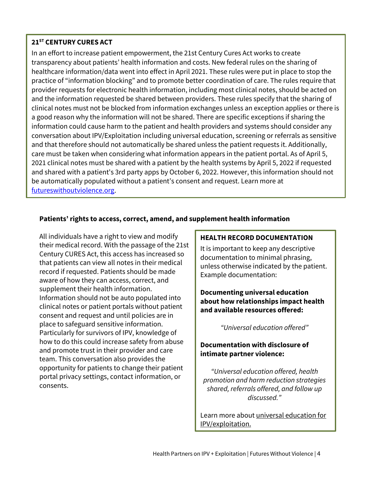### **21ST CENTURY CURES ACT**

In an effort to increase patient empowerment, the 21st Century Cures Act works to create transparency about patients' health information and costs. New federal rules on the sharing of healthcare information/data went into effect in April 2021. These rules were put in place to stop the practice of "information blocking" and to promote better coordination of care. The rules require that provider requests for electronic health information, including most clinical notes, should be acted on and the information requested be shared between providers. These rules specify that the sharing of clinical notes must not be blocked from information exchanges unless an exception applies or there is a good reason why the information will not be shared. There are specific exceptions if sharing the information could cause harm to the patient and health providers and systems should consider any conversation about IPV/Exploitation including universal education, screening or referrals as sensitive and that therefore should not automatically be shared unless the patient requests it. Additionally, care must be taken when considering what information appears in the patient portal. As of April 5, 2021 clinical notes must be shared with a patient by the health systems by April 5, 2022 if requested and shared with a patient's 3rd party apps by October 6, 2022. However, this information should not be automatically populated without a patient's consent and request. Learn more at [futureswithoutviolence.org.](https://www.futureswithoutviolence.org/CuresActWebinar)

### **Patients' rights to access, correct, amend, and supplement health information**

All individuals have a right to view and modify their medical record. With the passage of the 21st Century CURES Act, this access has increased so that patients can view all notes in their medical record if requested. Patients should be made aware of how they can access, correct, and supplement their health information. Information should not be auto populated into clinical notes or patient portals without patient consent and request and until policies are in place to safeguard sensitive information. Particularly for survivors of IPV, knowledge of how to do this could increase safety from abuse and promote trust in their provider and care team. This conversation also provides the opportunity for patients to change their patient portal privacy settings, contact information, or consents.

### **HEALTH RECORD DOCUMENTATION**

It is important to keep any descriptive documentation to minimal phrasing, unless otherwise indicated by the patient. Example documentation:

**Documenting universal education about how relationships impact health and available resources offered:** 

*"Universal education offered"*

### **Documentation with disclosure of intimate partner violence:**

*"Universal education offered, health promotion and harm reduction strategies shared, referrals offered, and follow up discussed."*

Learn more about [universal education for](https://ipvhealthpartners.org/adopt/)  [IPV/exploitation.](https://ipvhealthpartners.org/adopt/)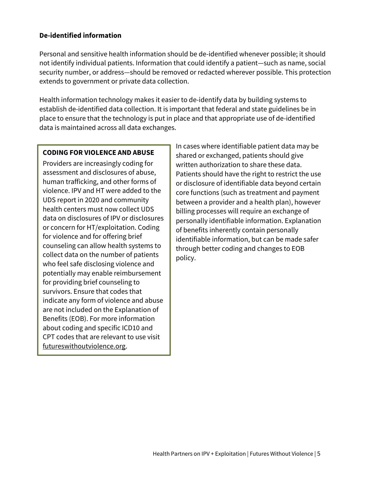#### **De-identified information**

Personal and sensitive health information should be de-identified whenever possible; it should not identify individual patients. Information that could identify a patient—such as name, social security number, or address—should be removed or redacted wherever possible. This protection extends to government or private data collection.

Health information technology makes it easier to de-identify data by building systems to establish de-identified data collection. It is important that federal and state guidelines be in place to ensure that the technology is put in place and that appropriate use of de-identified data is maintained across all data exchanges.

#### **CODING FOR VIOLENCE AND ABUSE**

Providers are increasingly coding for assessment and disclosures of abuse, human trafficking, and other forms of violence. IPV and HT were added to the UDS report in 2020 and community health centers must now collect UDS data on disclosures of IPV or disclosures or concern for HT/exploitation. Coding for violence and for offering brief counseling can allow health systems to collect data on the number of patients who feel safe disclosing violence and potentially may enable reimbursement for providing brief counseling to survivors. Ensure that codes that indicate any form of violence and abuse are not included on the Explanation of Benefits (EOB). For more information about coding and specific ICD10 and CPT codes that are relevant to use visit [futureswithoutviolence.org.](http://ipvhealth.org/wp-content/uploads/2017/02/Preventive-Medicine-Service-Codes-and-privacy-principles.pdf)

In cases where identifiable patient data may be shared or exchanged, patients should give written authorization to share these data. Patients should have the right to restrict the use or disclosure of identifiable data beyond certain core functions (such as treatment and payment between a provider and a health plan), however billing processes will require an exchange of personally identifiable information. Explanation of benefits inherently contain personally identifiable information, but can be made safer through better coding and changes to EOB policy.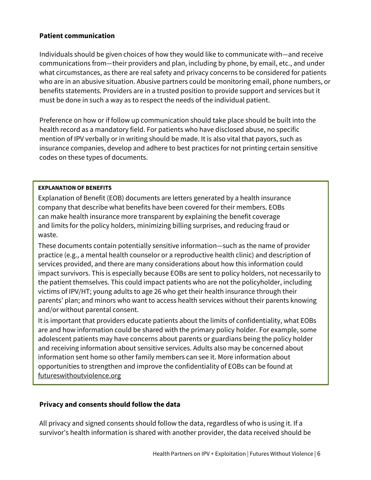#### **Patient communication**

Individuals should be given choices of how they would like to communicate with—and receive communications from—their providers and plan, including by phone, by email, etc., and under what circumstances, as there are real safety and privacy concerns to be considered for patients who are in an abusive situation. Abusive partners could be monitoring email, phone numbers, or benefits statements. Providers are in a trusted position to provide support and services but it must be done in such a way as to respect the needs of the individual patient.

Preference on how or if follow up communication should take place should be built into the health record as a mandatory field. For patients who have disclosed abuse, no specific mention of IPV verbally or in writing should be made. It is also vital that payors, such as insurance companies, develop and adhere to best practices for not printing certain sensitive codes on these types of documents.

#### **EXPLANATION OF BENEFITS**

Explanation of Benefit (EOB) documents are letters generated by a health insurance company that describe what benefits have been covered for their members. EOBs can make health insurance more transparent by explaining the benefit coverage and limits for the policy holders, minimizing billing surprises, and reducing fraud or waste.

These documents contain potentially sensitive information—such as the name of provider practice (e.g., a mental health counselor or a reproductive health clinic) and description of services provided, and there are many considerations about how this information could impact survivors. This is especially because EOBs are sent to policy holders, not necessarily to the patient themselves. This could impact patients who are not the policyholder, including victims of IPV/HT; young adults to age 26 who get their health insurance through their parents' plan; and minors who want to access health services without their parents knowing and/or without parental consent.

It is important that providers educate patients about the limits of confidentiality, what EOBs are and how information could be shared with the primary policy holder. For example, some adolescent patients may have concerns about parents or guardians being the policy holder and receiving information about sensitive services. Adults also may be concerned about information sent home so other family members can see it. More information about opportunities to strengthen and improve the confidentiality of EOBs can be found at [futureswithoutviolence.org](http://ipvhealthpartners.org/wp-content/uploads/2017/03/FUTURES-EOB-Principles.pdf)

#### **Privacy and consents should follow the data**

All privacy and signed consents should follow the data, regardless of who is using it. If a survivor's health information is shared with another provider, the data received should be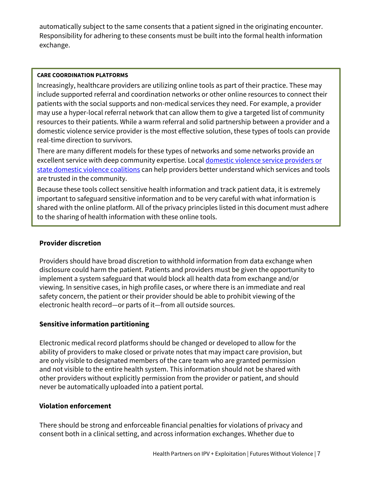automatically subject to the same consents that a patient signed in the originating encounter. Responsibility for adhering to these consents must be built into the formal health information exchange.

#### **CARE COORDINATION PLATFORMS**

Increasingly, healthcare providers are utilizing online tools as part of their practice. These may include supported referral and coordination networks or other online resources to connect their patients with the social supports and non-medical services they need. For example, a provider may use a hyper-local referral network that can allow them to give a targeted list of community resources to their patients. While a warm referral and solid partnership between a provider and a domestic violence service provider is the most effective solution, these types of tools can provide real-time direction to survivors.

There are many different models for these types of networks and some networks provide an excellent service with deep community expertise. Local [domestic violence](https://www.thehotline.org/get-help/domestic-violence-local-resources/) service providers or [state domestic violence](https://www.thehotline.org/get-help/domestic-violence-local-resources/) coalitions can help providers better understand which services and tools are trusted in the community.

Because these tools collect sensitive health information and track patient data, it is extremely important to safeguard sensitive information and to be very careful with what information is shared with the online platform. All of the privacy principles listed in this document must adhere to the sharing of health information with these online tools.

### **Provider discretion**

Providers should have broad discretion to withhold information from data exchange when disclosure could harm the patient. Patients and providers must be given the opportunity to implement a system safeguard that would block all health data from exchange and/or viewing. In sensitive cases, in high profile cases, or where there is an immediate and real safety concern, the patient or their provider should be able to prohibit viewing of the electronic health record—or parts of it—from all outside sources.

### **Sensitive information partitioning**

Electronic medical record platforms should be changed or developed to allow for the ability of providers to make closed or private notes that may impact care provision, but are only visible to designated members of the care team who are granted permission and not visible to the entire health system. This information should not be shared with other providers without explicitly permission from the provider or patient, and should never be automatically uploaded into a patient portal.

#### **Violation enforcement**

There should be strong and enforceable financial penalties for violations of privacy and consent both in a clinical setting, and across information exchanges. Whether due to